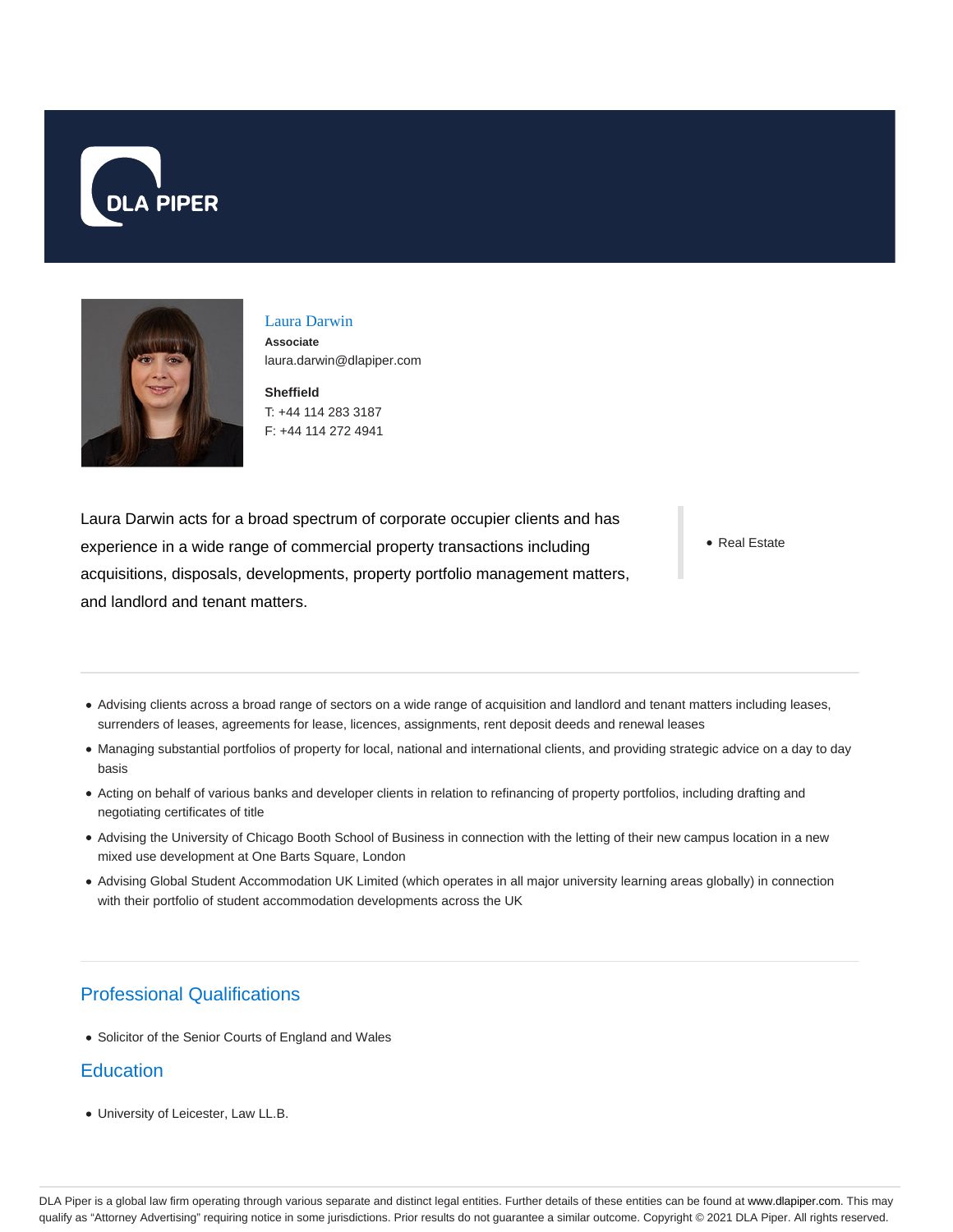



#### Laura Darwin **Associate** laura.darwin@dlapiper.com

**Sheffield** T: +44 114 283 3187 F: +44 114 272 4941

Laura Darwin acts for a broad spectrum of corporate occupier clients and has experience in a wide range of commercial property transactions including acquisitions, disposals, developments, property portfolio management matters, and landlord and tenant matters.

• Real Estate

- Advising clients across a broad range of sectors on a wide range of acquisition and landlord and tenant matters including leases, surrenders of leases, agreements for lease, licences, assignments, rent deposit deeds and renewal leases
- Managing substantial portfolios of property for local, national and international clients, and providing strategic advice on a day to day basis
- Acting on behalf of various banks and developer clients in relation to refinancing of property portfolios, including drafting and negotiating certificates of title
- Advising the University of Chicago Booth School of Business in connection with the letting of their new campus location in a new mixed use development at One Barts Square, London
- Advising Global Student Accommodation UK Limited (which operates in all major university learning areas globally) in connection with their portfolio of student accommodation developments across the UK

# Professional Qualifications

• Solicitor of the Senior Courts of England and Wales

## **Education**

University of Leicester, Law LL.B.